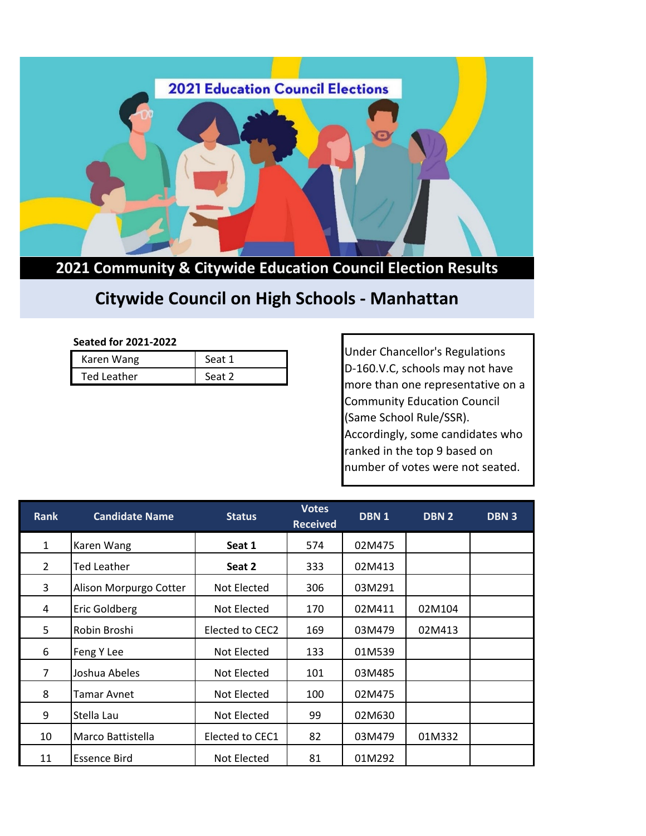

## **2021 Community & Citywide Education Council Election Results**

## **Citywide Council on High Schools - Manhattan**

## **Seated for 2021-2022**

| Karen Wang  | Seat 1 |
|-------------|--------|
| Ted Leather | Seat 2 |

Under Chancellor's Regulations D-160.V.C, schools may not have more than one representative on a Community Education Council (Same School Rule/SSR). Accordingly, some candidates who ranked in the top 9 based on number of votes were not seated.

| <b>Rank</b>    | <b>Candidate Name</b>  | <b>Status</b>   | <b>Votes</b><br><b>Received</b> | DBN <sub>1</sub> | DBN <sub>2</sub> | <b>DBN3</b> |
|----------------|------------------------|-----------------|---------------------------------|------------------|------------------|-------------|
| $\mathbf{1}$   | Karen Wang             | Seat 1          | 574                             | 02M475           |                  |             |
| $\overline{2}$ | Ted Leather            | Seat 2          | 333                             | 02M413           |                  |             |
| 3              | Alison Morpurgo Cotter | Not Elected     | 306                             | 03M291           |                  |             |
| 4              | Eric Goldberg          | Not Elected     | 170                             | 02M411           | 02M104           |             |
| 5              | Robin Broshi           | Elected to CEC2 | 169                             | 03M479           | 02M413           |             |
| 6              | Feng Y Lee             | Not Elected     | 133                             | 01M539           |                  |             |
| $\overline{7}$ | Joshua Abeles          | Not Elected     | 101                             | 03M485           |                  |             |
| 8              | Tamar Avnet            | Not Elected     | 100                             | 02M475           |                  |             |
| 9              | Stella Lau             | Not Elected     | 99                              | 02M630           |                  |             |
| 10             | Marco Battistella      | Elected to CEC1 | 82                              | 03M479           | 01M332           |             |
| 11             | Essence Bird           | Not Elected     | 81                              | 01M292           |                  |             |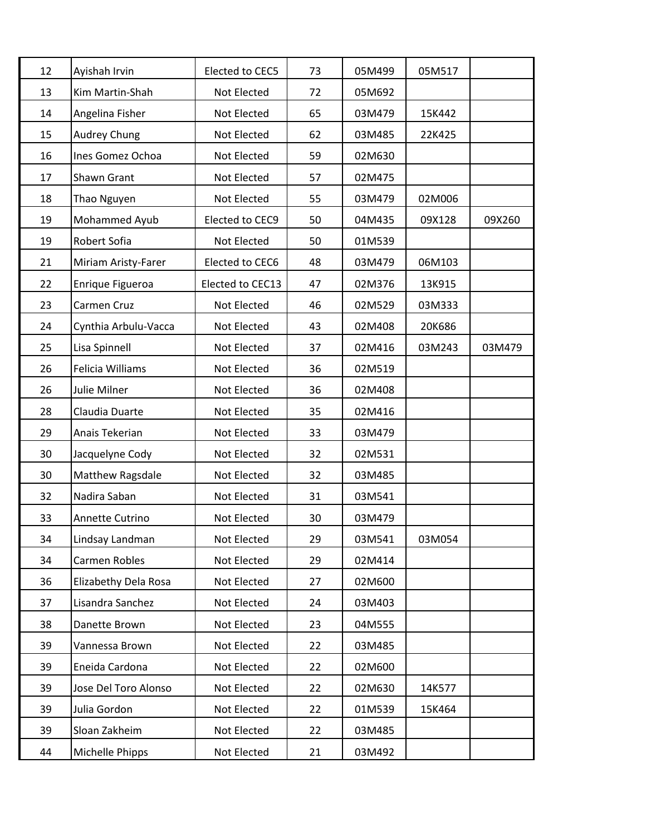| 12 | Ayishah Irvin        | Elected to CEC5  | 73 | 05M499 | 05M517 |        |
|----|----------------------|------------------|----|--------|--------|--------|
| 13 | Kim Martin-Shah      | Not Elected      | 72 | 05M692 |        |        |
| 14 | Angelina Fisher      | Not Elected      | 65 | 03M479 | 15K442 |        |
| 15 | <b>Audrey Chung</b>  | Not Elected      | 62 | 03M485 | 22K425 |        |
| 16 | Ines Gomez Ochoa     | Not Elected      | 59 | 02M630 |        |        |
| 17 | Shawn Grant          | Not Elected      | 57 | 02M475 |        |        |
| 18 | Thao Nguyen          | Not Elected      | 55 | 03M479 | 02M006 |        |
| 19 | Mohammed Ayub        | Elected to CEC9  | 50 | 04M435 | 09X128 | 09X260 |
| 19 | Robert Sofia         | Not Elected      | 50 | 01M539 |        |        |
| 21 | Miriam Aristy-Farer  | Elected to CEC6  | 48 | 03M479 | 06M103 |        |
| 22 | Enrique Figueroa     | Elected to CEC13 | 47 | 02M376 | 13K915 |        |
| 23 | Carmen Cruz          | Not Elected      | 46 | 02M529 | 03M333 |        |
| 24 | Cynthia Arbulu-Vacca | Not Elected      | 43 | 02M408 | 20K686 |        |
| 25 | Lisa Spinnell        | Not Elected      | 37 | 02M416 | 03M243 | 03M479 |
| 26 | Felicia Williams     | Not Elected      | 36 | 02M519 |        |        |
| 26 | <b>Julie Milner</b>  | Not Elected      | 36 | 02M408 |        |        |
| 28 | Claudia Duarte       | Not Elected      | 35 | 02M416 |        |        |
| 29 | Anais Tekerian       | Not Elected      | 33 | 03M479 |        |        |
| 30 | Jacquelyne Cody      | Not Elected      | 32 | 02M531 |        |        |
| 30 | Matthew Ragsdale     | Not Elected      | 32 | 03M485 |        |        |
| 32 | Nadira Saban         | Not Elected      | 31 | 03M541 |        |        |
| 33 | Annette Cutrino      | Not Elected      | 30 | 03M479 |        |        |
| 34 | Lindsay Landman      | Not Elected      | 29 | 03M541 | 03M054 |        |
| 34 | Carmen Robles        | Not Elected      | 29 | 02M414 |        |        |
| 36 | Elizabethy Dela Rosa | Not Elected      | 27 | 02M600 |        |        |
| 37 | Lisandra Sanchez     | Not Elected      | 24 | 03M403 |        |        |
| 38 | Danette Brown        | Not Elected      | 23 | 04M555 |        |        |
| 39 | Vannessa Brown       | Not Elected      | 22 | 03M485 |        |        |
| 39 | Eneida Cardona       | Not Elected      | 22 | 02M600 |        |        |
| 39 | Jose Del Toro Alonso | Not Elected      | 22 | 02M630 | 14K577 |        |
| 39 | Julia Gordon         | Not Elected      | 22 | 01M539 | 15K464 |        |
| 39 | Sloan Zakheim        | Not Elected      | 22 | 03M485 |        |        |
| 44 | Michelle Phipps      | Not Elected      | 21 | 03M492 |        |        |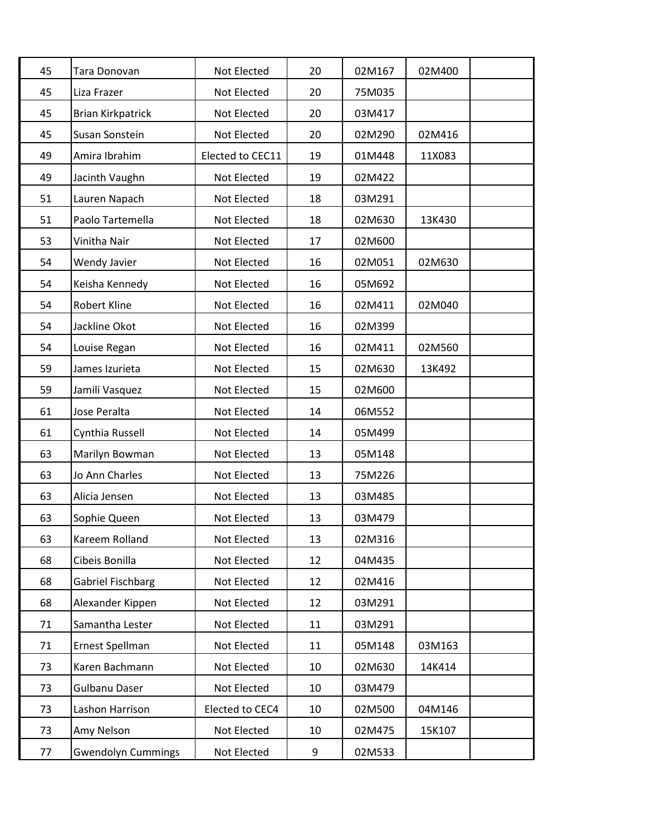| 45 | Tara Donovan              | Not Elected      | 20 | 02M167 | 02M400 |  |
|----|---------------------------|------------------|----|--------|--------|--|
| 45 | Liza Frazer               | Not Elected      | 20 | 75M035 |        |  |
| 45 | <b>Brian Kirkpatrick</b>  | Not Elected      | 20 | 03M417 |        |  |
| 45 | Susan Sonstein            | Not Elected      | 20 | 02M290 | 02M416 |  |
| 49 | Amira Ibrahim             | Elected to CEC11 | 19 | 01M448 | 11X083 |  |
| 49 | Jacinth Vaughn            | Not Elected      | 19 | 02M422 |        |  |
| 51 | Lauren Napach             | Not Elected      | 18 | 03M291 |        |  |
| 51 | Paolo Tartemella          | Not Elected      | 18 | 02M630 | 13K430 |  |
| 53 | Vinitha Nair              | Not Elected      | 17 | 02M600 |        |  |
| 54 | Wendy Javier              | Not Elected      | 16 | 02M051 | 02M630 |  |
| 54 | Keisha Kennedy            | Not Elected      | 16 | 05M692 |        |  |
| 54 | Robert Kline              | Not Elected      | 16 | 02M411 | 02M040 |  |
| 54 | Jackline Okot             | Not Elected      | 16 | 02M399 |        |  |
| 54 | Louise Regan              | Not Elected      | 16 | 02M411 | 02M560 |  |
| 59 | James Izurieta            | Not Elected      | 15 | 02M630 | 13K492 |  |
| 59 | Jamili Vasquez            | Not Elected      | 15 | 02M600 |        |  |
| 61 | Jose Peralta              | Not Elected      | 14 | 06M552 |        |  |
| 61 | Cynthia Russell           | Not Elected      | 14 | 05M499 |        |  |
| 63 | Marilyn Bowman            | Not Elected      | 13 | 05M148 |        |  |
| 63 | Jo Ann Charles            | Not Elected      | 13 | 75M226 |        |  |
| 63 | Alicia Jensen             | Not Elected      | 13 | 03M485 |        |  |
| 63 | Sophie Queen              | Not Elected      | 13 | 03M479 |        |  |
| 63 | Kareem Rolland            | Not Elected      | 13 | 02M316 |        |  |
| 68 | Cibeis Bonilla            | Not Elected      | 12 | 04M435 |        |  |
| 68 | Gabriel Fischbarg         | Not Elected      | 12 | 02M416 |        |  |
| 68 | Alexander Kippen          | Not Elected      | 12 | 03M291 |        |  |
| 71 | Samantha Lester           | Not Elected      | 11 | 03M291 |        |  |
| 71 | Ernest Spellman           | Not Elected      | 11 | 05M148 | 03M163 |  |
| 73 | Karen Bachmann            | Not Elected      | 10 | 02M630 | 14K414 |  |
| 73 | Gulbanu Daser             | Not Elected      | 10 | 03M479 |        |  |
| 73 | Lashon Harrison           | Elected to CEC4  | 10 | 02M500 | 04M146 |  |
| 73 | Amy Nelson                | Not Elected      | 10 | 02M475 | 15K107 |  |
| 77 | <b>Gwendolyn Cummings</b> | Not Elected      | 9  | 02M533 |        |  |